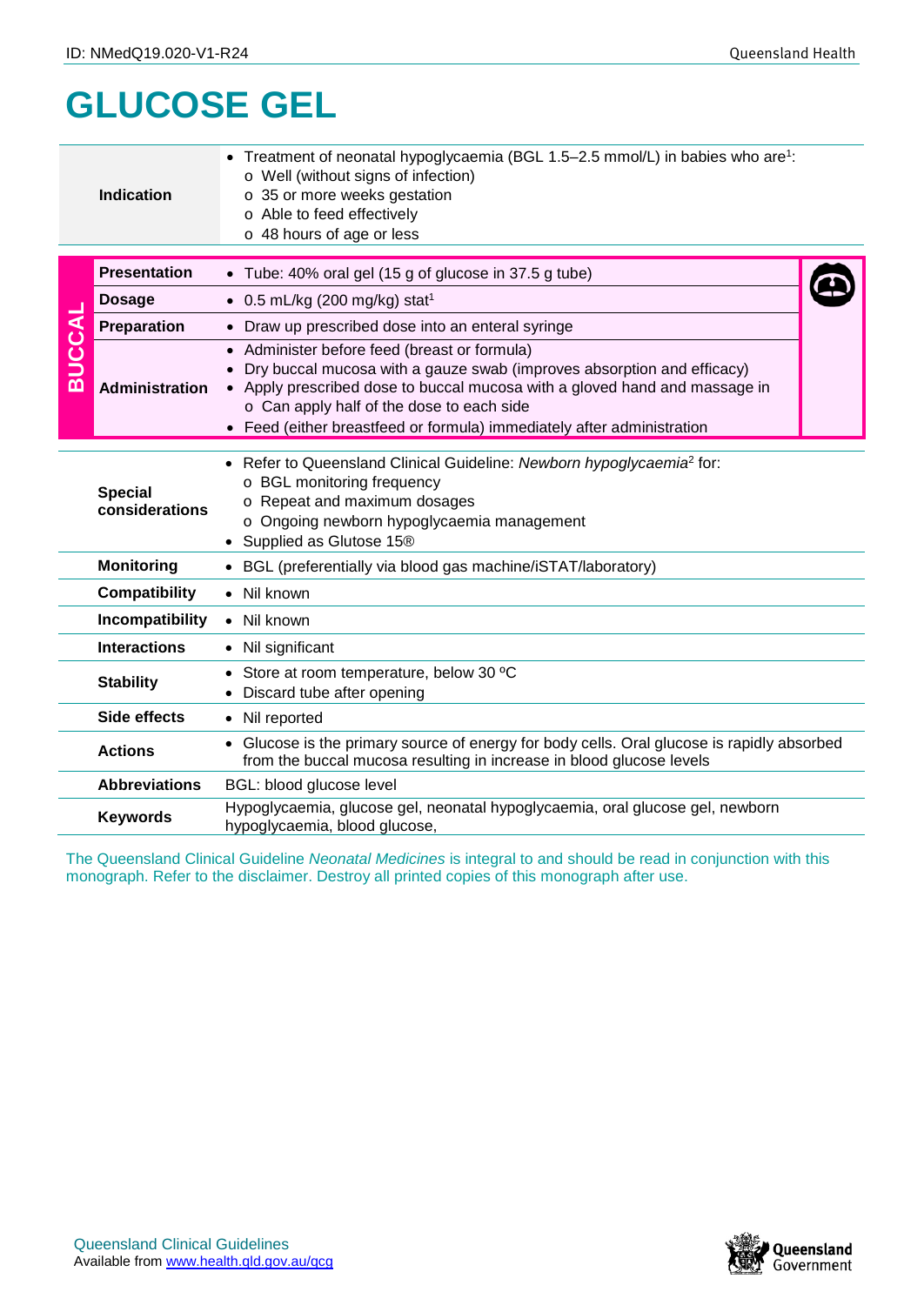## **GLUCOSE GEL**

|                  | <b>Indication</b>                                                                                                                                                                    | Treatment of neonatal hypoglycaemia (BGL 1.5–2.5 mmol/L) in babies who are <sup>1</sup> :<br>o Well (without signs of infection)<br>o 35 or more weeks gestation<br>o Able to feed effectively<br>o 48 hours of age or less                                                                                                 |  |  |  |  |
|------------------|--------------------------------------------------------------------------------------------------------------------------------------------------------------------------------------|-----------------------------------------------------------------------------------------------------------------------------------------------------------------------------------------------------------------------------------------------------------------------------------------------------------------------------|--|--|--|--|
| <b>BUCCAL</b>    | <b>Presentation</b>                                                                                                                                                                  | • Tube: 40% oral gel (15 g of glucose in 37.5 g tube)                                                                                                                                                                                                                                                                       |  |  |  |  |
|                  | <b>Dosage</b>                                                                                                                                                                        | $\bullet$ 0.5 mL/kg (200 mg/kg) stat <sup>1</sup>                                                                                                                                                                                                                                                                           |  |  |  |  |
|                  | Preparation                                                                                                                                                                          | • Draw up prescribed dose into an enteral syringe                                                                                                                                                                                                                                                                           |  |  |  |  |
|                  | <b>Administration</b>                                                                                                                                                                | • Administer before feed (breast or formula)<br>Dry buccal mucosa with a gauze swab (improves absorption and efficacy)<br>• Apply prescribed dose to buccal mucosa with a gloved hand and massage in<br>o Can apply half of the dose to each side<br>• Feed (either breastfeed or formula) immediately after administration |  |  |  |  |
|                  | <b>Special</b><br>considerations                                                                                                                                                     | Refer to Queensland Clinical Guideline: Newborn hypoglycaemia <sup>2</sup> for:<br>o BGL monitoring frequency<br>o Repeat and maximum dosages<br>o Ongoing newborn hypoglycaemia management<br>• Supplied as Glutose 15®                                                                                                    |  |  |  |  |
|                  | <b>Monitoring</b>                                                                                                                                                                    | • BGL (preferentially via blood gas machine/iSTAT/laboratory)                                                                                                                                                                                                                                                               |  |  |  |  |
|                  | <b>Compatibility</b>                                                                                                                                                                 | • Nil known                                                                                                                                                                                                                                                                                                                 |  |  |  |  |
|                  | Incompatibility<br>• Nil known                                                                                                                                                       |                                                                                                                                                                                                                                                                                                                             |  |  |  |  |
|                  | <b>Interactions</b>                                                                                                                                                                  | • Nil significant                                                                                                                                                                                                                                                                                                           |  |  |  |  |
| <b>Stability</b> |                                                                                                                                                                                      | Store at room temperature, below 30 °C<br>Discard tube after opening                                                                                                                                                                                                                                                        |  |  |  |  |
|                  | Side effects<br>• Nil reported                                                                                                                                                       |                                                                                                                                                                                                                                                                                                                             |  |  |  |  |
|                  | • Glucose is the primary source of energy for body cells. Oral glucose is rapidly absorbed<br><b>Actions</b><br>from the buccal mucosa resulting in increase in blood glucose levels |                                                                                                                                                                                                                                                                                                                             |  |  |  |  |
|                  | <b>Abbreviations</b>                                                                                                                                                                 | BGL: blood glucose level                                                                                                                                                                                                                                                                                                    |  |  |  |  |
|                  | Hypoglycaemia, glucose gel, neonatal hypoglycaemia, oral glucose gel, newborn<br><b>Keywords</b><br>hypoglycaemia, blood glucose,                                                    |                                                                                                                                                                                                                                                                                                                             |  |  |  |  |
|                  |                                                                                                                                                                                      | The Queensland Clinical Guideline Neonatal Medicines is integral to and should be read in conjunction with this<br>monograph. Refer to the disclaimer. Destroy all printed copies of this monograph after use.                                                                                                              |  |  |  |  |